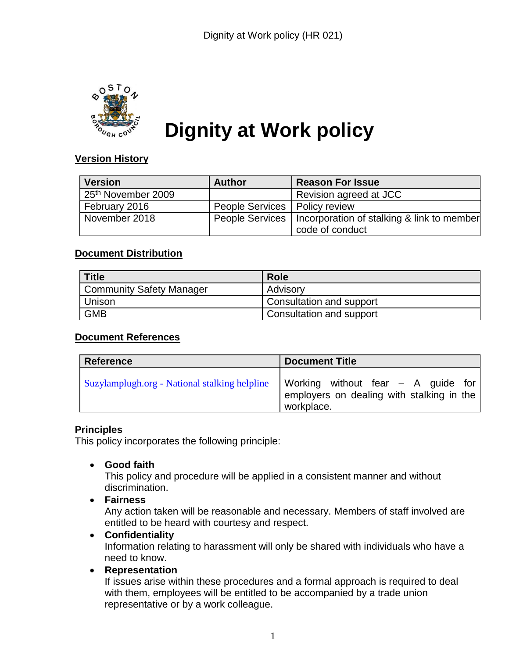

# **Dignity at Work policy**

# **Version History**

| <b>Version</b>                 | <b>Author</b>                   | <b>Reason For Issue</b>                                      |
|--------------------------------|---------------------------------|--------------------------------------------------------------|
| 25 <sup>th</sup> November 2009 |                                 | Revision agreed at JCC                                       |
| February 2016                  | People Services   Policy review |                                                              |
| November 2018                  |                                 | People Services   Incorporation of stalking & link to member |
|                                |                                 | code of conduct                                              |

## **Document Distribution**

| <b>Title</b>                    | <b>Role</b>              |
|---------------------------------|--------------------------|
| <b>Community Safety Manager</b> | Advisory                 |
| Unison                          | Consultation and support |
| <b>GMB</b>                      | Consultation and support |

## **Document References**

| <b>Reference</b>                              | <b>Document Title</b>                                                                         |
|-----------------------------------------------|-----------------------------------------------------------------------------------------------|
| Suzylamplugh.org - National stalking helpline | Working without fear – A guide for<br>employers on dealing with stalking in the<br>workplace. |

## **Principles**

This policy incorporates the following principle:

**Good faith**

This policy and procedure will be applied in a consistent manner and without discrimination.

## **Fairness**

Any action taken will be reasonable and necessary. Members of staff involved are entitled to be heard with courtesy and respect.

# **Confidentiality**

Information relating to harassment will only be shared with individuals who have a need to know.

## **Representation**

If issues arise within these procedures and a formal approach is required to deal with them, employees will be entitled to be accompanied by a trade union representative or by a work colleague.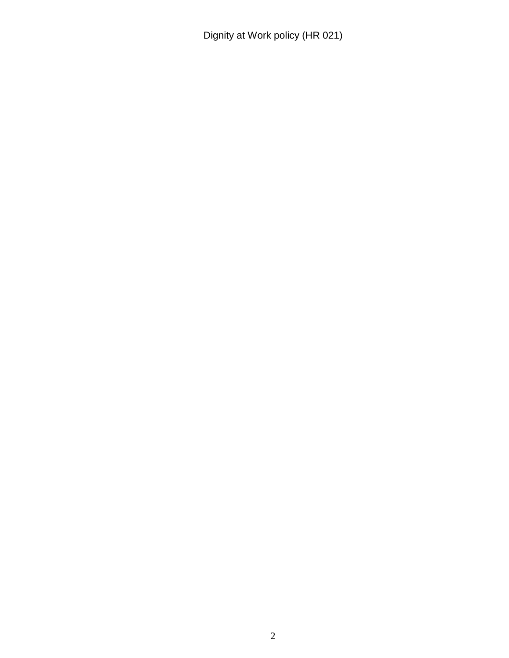Dignity at Work policy (HR 021)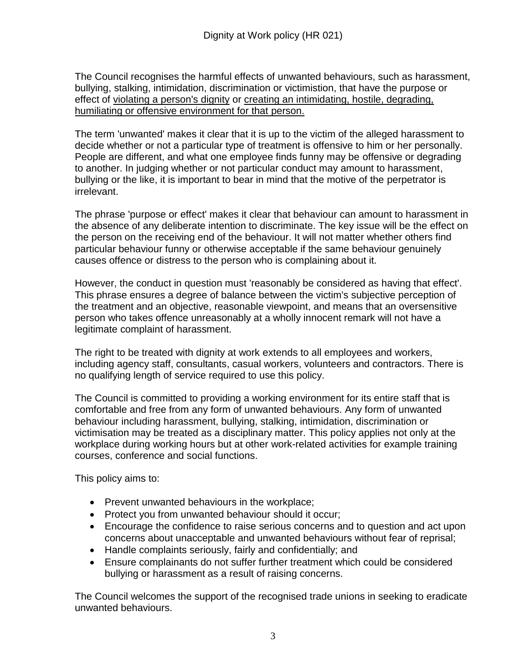The Council recognises the harmful effects of unwanted behaviours, such as harassment, bullying, stalking, intimidation, discrimination or victimistion, that have the purpose or effect of violating a person's dignity or creating an intimidating, hostile, degrading, humiliating or offensive environment for that person.

The term 'unwanted' makes it clear that it is up to the victim of the alleged harassment to decide whether or not a particular type of treatment is offensive to him or her personally. People are different, and what one employee finds funny may be offensive or degrading to another. In judging whether or not particular conduct may amount to harassment, bullying or the like, it is important to bear in mind that the motive of the perpetrator is irrelevant.

The phrase 'purpose or effect' makes it clear that behaviour can amount to harassment in the absence of any deliberate intention to discriminate. The key issue will be the effect on the person on the receiving end of the behaviour. It will not matter whether others find particular behaviour funny or otherwise acceptable if the same behaviour genuinely causes offence or distress to the person who is complaining about it.

However, the conduct in question must 'reasonably be considered as having that effect'. This phrase ensures a degree of balance between the victim's subjective perception of the treatment and an objective, reasonable viewpoint, and means that an oversensitive person who takes offence unreasonably at a wholly innocent remark will not have a legitimate complaint of harassment.

The right to be treated with dignity at work extends to all employees and workers, including agency staff, consultants, casual workers, volunteers and contractors. There is no qualifying length of service required to use this policy.

The Council is committed to providing a working environment for its entire staff that is comfortable and free from any form of unwanted behaviours. Any form of unwanted behaviour including harassment, bullying, stalking, intimidation, discrimination or victimisation may be treated as a disciplinary matter. This policy applies not only at the workplace during working hours but at other work-related activities for example training courses, conference and social functions.

This policy aims to:

- Prevent unwanted behaviours in the workplace;
- Protect you from unwanted behaviour should it occur;
- Encourage the confidence to raise serious concerns and to question and act upon concerns about unacceptable and unwanted behaviours without fear of reprisal;
- Handle complaints seriously, fairly and confidentially; and
- Ensure complainants do not suffer further treatment which could be considered bullying or harassment as a result of raising concerns.

The Council welcomes the support of the recognised trade unions in seeking to eradicate unwanted behaviours.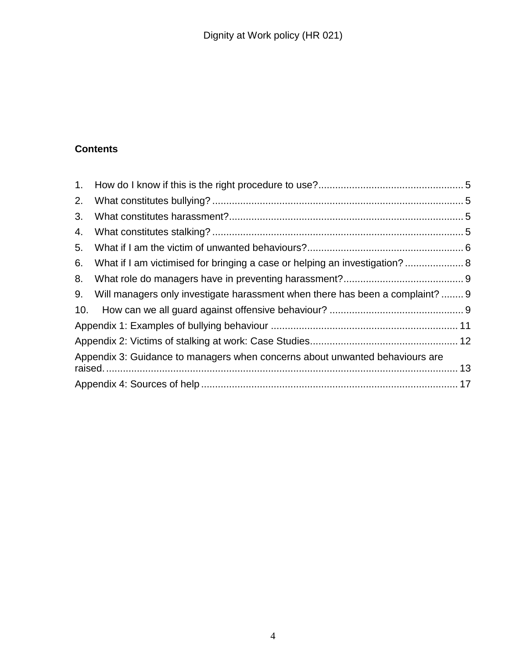# **Contents**

| What if I am victimised for bringing a case or helping an investigation? 8       |  |
|----------------------------------------------------------------------------------|--|
|                                                                                  |  |
| 9. Will managers only investigate harassment when there has been a complaint?  9 |  |
|                                                                                  |  |
|                                                                                  |  |
|                                                                                  |  |
| Appendix 3: Guidance to managers when concerns about unwanted behaviours are     |  |
|                                                                                  |  |
|                                                                                  |  |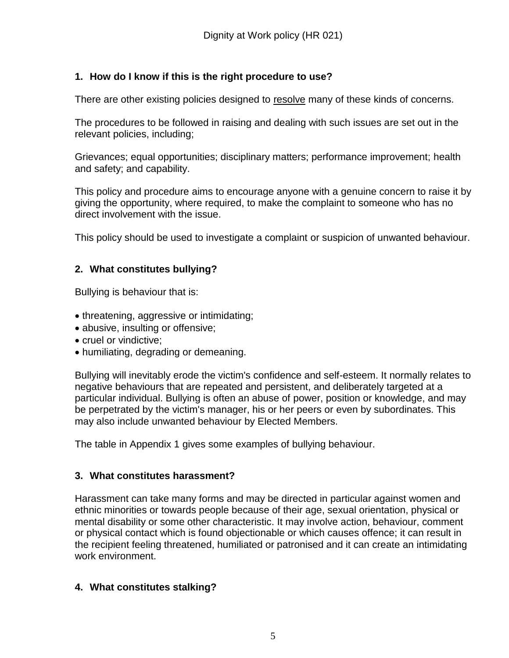# <span id="page-4-0"></span>**1. How do I know if this is the right procedure to use?**

There are other existing policies designed to resolve many of these kinds of concerns.

The procedures to be followed in raising and dealing with such issues are set out in the relevant policies, including;

Grievances; equal opportunities; disciplinary matters; performance improvement; health and safety; and capability.

This policy and procedure aims to encourage anyone with a genuine concern to raise it by giving the opportunity, where required, to make the complaint to someone who has no direct involvement with the issue.

This policy should be used to investigate a complaint or suspicion of unwanted behaviour.

# <span id="page-4-1"></span>**2. What constitutes bullying?**

Bullying is behaviour that is:

- threatening, aggressive or intimidating;
- abusive, insulting or offensive;
- cruel or vindictive:
- humiliating, degrading or demeaning.

Bullying will inevitably erode the victim's confidence and self-esteem. It normally relates to negative behaviours that are repeated and persistent, and deliberately targeted at a particular individual. Bullying is often an abuse of power, position or knowledge, and may be perpetrated by the victim's manager, his or her peers or even by subordinates. This may also include unwanted behaviour by Elected Members.

The table in Appendix 1 gives some examples of bullying behaviour.

## <span id="page-4-2"></span>**3. What constitutes harassment?**

Harassment can take many forms and may be directed in particular against women and ethnic minorities or towards people because of their age, sexual orientation, physical or mental disability or some other characteristic. It may involve action, behaviour, comment or physical contact which is found objectionable or which causes offence; it can result in the recipient feeling threatened, humiliated or patronised and it can create an intimidating work environment.

# <span id="page-4-3"></span>**4. What constitutes stalking?**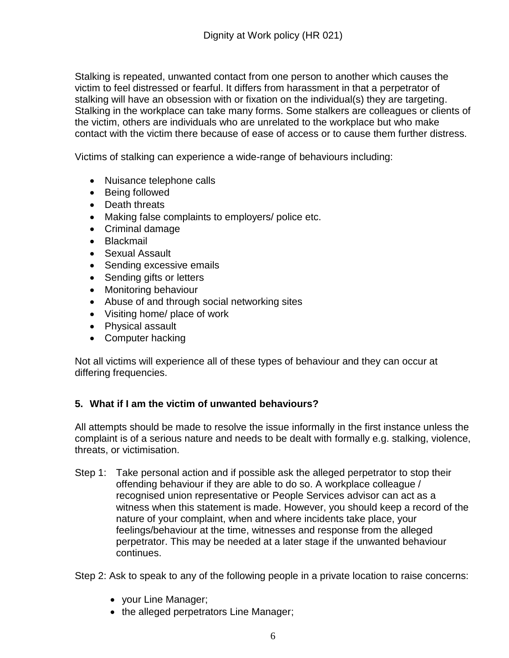Stalking is repeated, unwanted contact from one person to another which causes the victim to feel distressed or fearful. It differs from harassment in that a perpetrator of stalking will have an obsession with or fixation on the individual(s) they are targeting. Stalking in the workplace can take many forms. Some stalkers are colleagues or clients of the victim, others are individuals who are unrelated to the workplace but who make contact with the victim there because of ease of access or to cause them further distress.

Victims of stalking can experience a wide-range of behaviours including:

- Nuisance telephone calls
- Being followed
- Death threats
- Making false complaints to employers/ police etc.
- Criminal damage
- Blackmail
- Sexual Assault
- Sending excessive emails
- Sending gifts or letters
- Monitoring behaviour
- Abuse of and through social networking sites
- Visiting home/ place of work
- Physical assault
- Computer hacking

Not all victims will experience all of these types of behaviour and they can occur at differing frequencies.

# <span id="page-5-0"></span>**5. What if I am the victim of unwanted behaviours?**

All attempts should be made to resolve the issue informally in the first instance unless the complaint is of a serious nature and needs to be dealt with formally e.g. stalking, violence, threats, or victimisation.

Step 1: Take personal action and if possible ask the alleged perpetrator to stop their offending behaviour if they are able to do so. A workplace colleague / recognised union representative or People Services advisor can act as a witness when this statement is made. However, you should keep a record of the nature of your complaint, when and where incidents take place, your feelings/behaviour at the time, witnesses and response from the alleged perpetrator. This may be needed at a later stage if the unwanted behaviour continues.

Step 2: Ask to speak to any of the following people in a private location to raise concerns:

- your Line Manager;
- the alleged perpetrators Line Manager;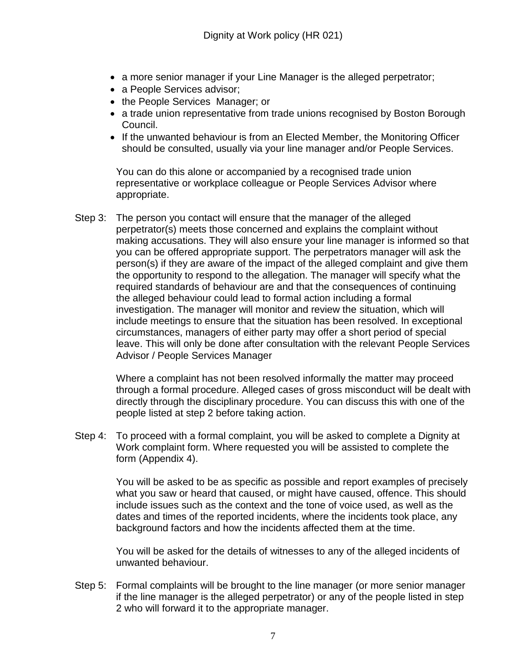- a more senior manager if your Line Manager is the alleged perpetrator;
- a People Services advisor;
- the People Services Manager; or
- a trade union representative from trade unions recognised by Boston Borough Council.
- If the unwanted behaviour is from an Elected Member, the Monitoring Officer should be consulted, usually via your line manager and/or People Services.

You can do this alone or accompanied by a recognised trade union representative or workplace colleague or People Services Advisor where appropriate.

Step 3: The person you contact will ensure that the manager of the alleged perpetrator(s) meets those concerned and explains the complaint without making accusations. They will also ensure your line manager is informed so that you can be offered appropriate support. The perpetrators manager will ask the person(s) if they are aware of the impact of the alleged complaint and give them the opportunity to respond to the allegation. The manager will specify what the required standards of behaviour are and that the consequences of continuing the alleged behaviour could lead to formal action including a formal investigation. The manager will monitor and review the situation, which will include meetings to ensure that the situation has been resolved. In exceptional circumstances, managers of either party may offer a short period of special leave. This will only be done after consultation with the relevant People Services Advisor / People Services Manager

> Where a complaint has not been resolved informally the matter may proceed through a formal procedure. Alleged cases of gross misconduct will be dealt with directly through the disciplinary procedure. You can discuss this with one of the people listed at step 2 before taking action.

Step 4: To proceed with a formal complaint, you will be asked to complete a Dignity at Work complaint form. Where requested you will be assisted to complete the form (Appendix 4).

> You will be asked to be as specific as possible and report examples of precisely what you saw or heard that caused, or might have caused, offence. This should include issues such as the context and the tone of voice used, as well as the dates and times of the reported incidents, where the incidents took place, any background factors and how the incidents affected them at the time.

You will be asked for the details of witnesses to any of the alleged incidents of unwanted behaviour.

Step 5: Formal complaints will be brought to the line manager (or more senior manager if the line manager is the alleged perpetrator) or any of the people listed in step 2 who will forward it to the appropriate manager.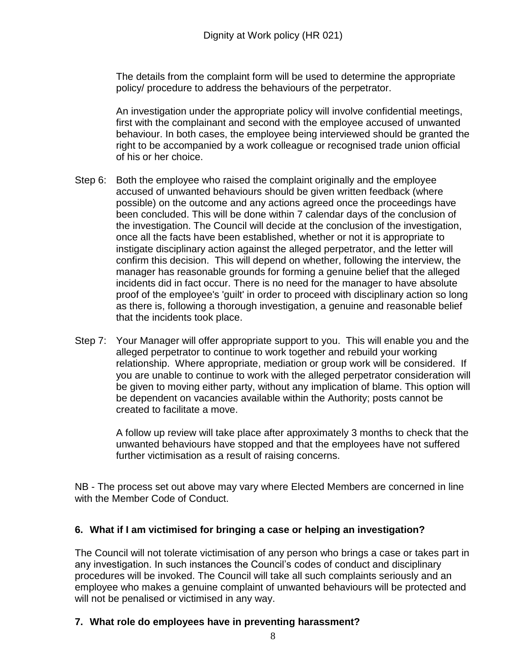The details from the complaint form will be used to determine the appropriate policy/ procedure to address the behaviours of the perpetrator.

An investigation under the appropriate policy will involve confidential meetings, first with the complainant and second with the employee accused of unwanted behaviour. In both cases, the employee being interviewed should be granted the right to be accompanied by a work colleague or recognised trade union official of his or her choice.

- Step 6: Both the employee who raised the complaint originally and the employee accused of unwanted behaviours should be given written feedback (where possible) on the outcome and any actions agreed once the proceedings have been concluded. This will be done within 7 calendar days of the conclusion of the investigation. The Council will decide at the conclusion of the investigation, once all the facts have been established, whether or not it is appropriate to instigate disciplinary action against the alleged perpetrator, and the letter will confirm this decision. This will depend on whether, following the interview, the manager has reasonable grounds for forming a genuine belief that the alleged incidents did in fact occur. There is no need for the manager to have absolute proof of the employee's 'guilt' in order to proceed with disciplinary action so long as there is, following a thorough investigation, a genuine and reasonable belief that the incidents took place.
- Step 7: Your Manager will offer appropriate support to you. This will enable you and the alleged perpetrator to continue to work together and rebuild your working relationship. Where appropriate, mediation or group work will be considered. If you are unable to continue to work with the alleged perpetrator consideration will be given to moving either party, without any implication of blame. This option will be dependent on vacancies available within the Authority; posts cannot be created to facilitate a move.

A follow up review will take place after approximately 3 months to check that the unwanted behaviours have stopped and that the employees have not suffered further victimisation as a result of raising concerns.

<span id="page-7-0"></span>NB - The process set out above may vary where Elected Members are concerned in line with the Member Code of Conduct.

# **6. What if I am victimised for bringing a case or helping an investigation?**

The Council will not tolerate victimisation of any person who brings a case or takes part in any investigation. In such instances the Council's codes of conduct and disciplinary procedures will be invoked. The Council will take all such complaints seriously and an employee who makes a genuine complaint of unwanted behaviours will be protected and will not be penalised or victimised in any way.

## **7. What role do employees have in preventing harassment?**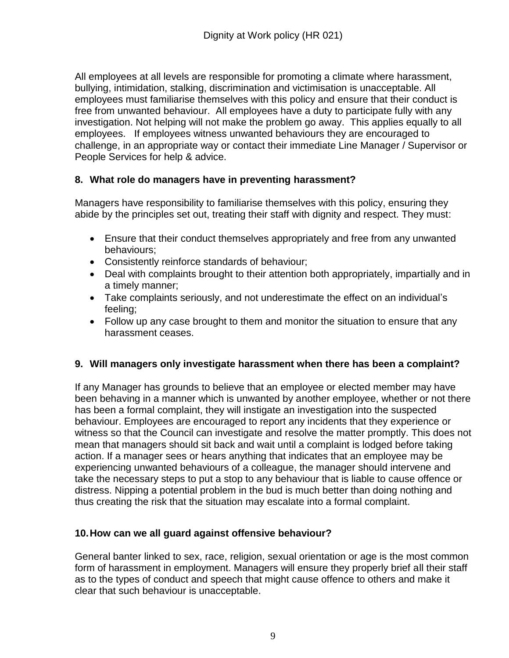All employees at all levels are responsible for promoting a climate where harassment, bullying, intimidation, stalking, discrimination and victimisation is unacceptable. All employees must familiarise themselves with this policy and ensure that their conduct is free from unwanted behaviour. All employees have a duty to participate fully with any investigation. Not helping will not make the problem go away. This applies equally to all employees. If employees witness unwanted behaviours they are encouraged to challenge, in an appropriate way or contact their immediate Line Manager / Supervisor or People Services for help & advice.

# <span id="page-8-0"></span>**8. What role do managers have in preventing harassment?**

Managers have responsibility to familiarise themselves with this policy, ensuring they abide by the principles set out, treating their staff with dignity and respect. They must:

- Ensure that their conduct themselves appropriately and free from any unwanted behaviours;
- Consistently reinforce standards of behaviour;
- Deal with complaints brought to their attention both appropriately, impartially and in a timely manner;
- Take complaints seriously, and not underestimate the effect on an individual's feeling;
- Follow up any case brought to them and monitor the situation to ensure that any harassment ceases.

# <span id="page-8-1"></span>**9. Will managers only investigate harassment when there has been a complaint?**

If any Manager has grounds to believe that an employee or elected member may have been behaving in a manner which is unwanted by another employee, whether or not there has been a formal complaint, they will instigate an investigation into the suspected behaviour. Employees are encouraged to report any incidents that they experience or witness so that the Council can investigate and resolve the matter promptly. This does not mean that managers should sit back and wait until a complaint is lodged before taking action. If a manager sees or hears anything that indicates that an employee may be experiencing unwanted behaviours of a colleague, the manager should intervene and take the necessary steps to put a stop to any behaviour that is liable to cause offence or distress. Nipping a potential problem in the bud is much better than doing nothing and thus creating the risk that the situation may escalate into a formal complaint.

# <span id="page-8-2"></span>**10.How can we all guard against offensive behaviour?**

General banter linked to sex, race, religion, sexual orientation or age is the most common form of harassment in employment. Managers will ensure they properly brief all their staff as to the types of conduct and speech that might cause offence to others and make it clear that such behaviour is unacceptable.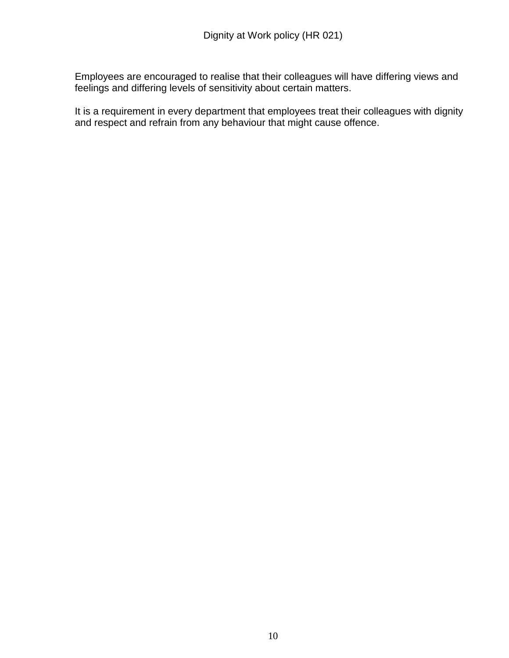Employees are encouraged to realise that their colleagues will have differing views and feelings and differing levels of sensitivity about certain matters.

It is a requirement in every department that employees treat their colleagues with dignity and respect and refrain from any behaviour that might cause offence.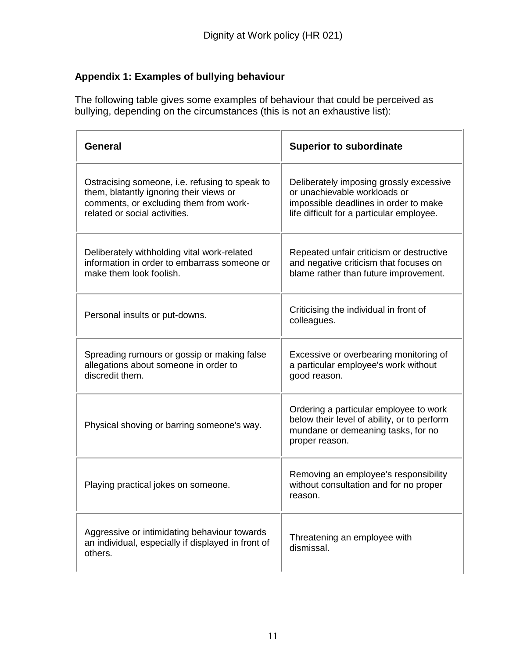# <span id="page-10-0"></span>**Appendix 1: Examples of bullying behaviour**

The following table gives some examples of behaviour that could be perceived as bullying, depending on the circumstances (this is not an exhaustive list):

| <b>General</b>                                                                                                                                                       | <b>Superior to subordinate</b>                                                                                                                                |
|----------------------------------------------------------------------------------------------------------------------------------------------------------------------|---------------------------------------------------------------------------------------------------------------------------------------------------------------|
| Ostracising someone, i.e. refusing to speak to<br>them, blatantly ignoring their views or<br>comments, or excluding them from work-<br>related or social activities. | Deliberately imposing grossly excessive<br>or unachievable workloads or<br>impossible deadlines in order to make<br>life difficult for a particular employee. |
| Deliberately withholding vital work-related<br>information in order to embarrass someone or<br>make them look foolish.                                               | Repeated unfair criticism or destructive<br>and negative criticism that focuses on<br>blame rather than future improvement.                                   |
| Personal insults or put-downs.                                                                                                                                       | Criticising the individual in front of<br>colleagues.                                                                                                         |
| Spreading rumours or gossip or making false<br>allegations about someone in order to<br>discredit them.                                                              | Excessive or overbearing monitoring of<br>a particular employee's work without<br>good reason.                                                                |
| Physical shoving or barring someone's way.                                                                                                                           | Ordering a particular employee to work<br>below their level of ability, or to perform<br>mundane or demeaning tasks, for no<br>proper reason.                 |
| Playing practical jokes on someone.                                                                                                                                  | Removing an employee's responsibility<br>without consultation and for no proper<br>reason.                                                                    |
| Aggressive or intimidating behaviour towards<br>an individual, especially if displayed in front of<br>others.                                                        | Threatening an employee with<br>dismissal.                                                                                                                    |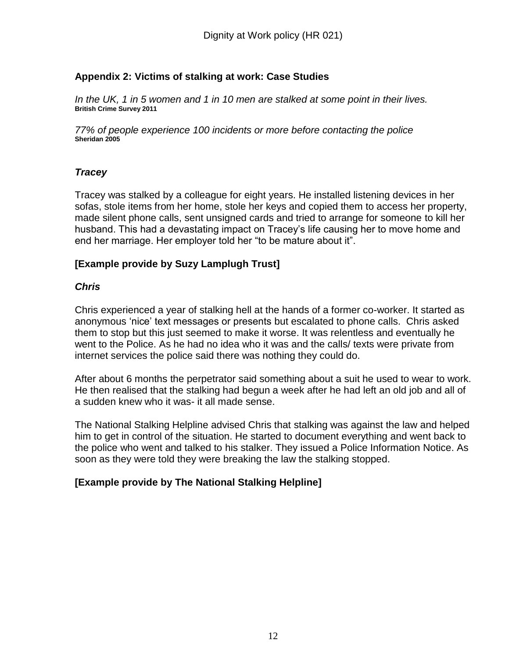## <span id="page-11-0"></span>**Appendix 2: Victims of stalking at work: Case Studies**

*In the UK, 1 in 5 women and 1 in 10 men are stalked at some point in their lives.* **British Crime Survey 2011**

*77% of people experience 100 incidents or more before contacting the police*  **Sheridan 2005**

## *Tracey*

Tracey was stalked by a colleague for eight years. He installed listening devices in her sofas, stole items from her home, stole her keys and copied them to access her property, made silent phone calls, sent unsigned cards and tried to arrange for someone to kill her husband. This had a devastating impact on Tracey's life causing her to move home and end her marriage. Her employer told her "to be mature about it".

## **[Example provide by Suzy Lamplugh Trust]**

## *Chris*

Chris experienced a year of stalking hell at the hands of a former co-worker. It started as anonymous 'nice' text messages or presents but escalated to phone calls. Chris asked them to stop but this just seemed to make it worse. It was relentless and eventually he went to the Police. As he had no idea who it was and the calls/ texts were private from internet services the police said there was nothing they could do.

After about 6 months the perpetrator said something about a suit he used to wear to work. He then realised that the stalking had begun a week after he had left an old job and all of a sudden knew who it was- it all made sense.

The National Stalking Helpline advised Chris that stalking was against the law and helped him to get in control of the situation. He started to document everything and went back to the police who went and talked to his stalker. They issued a Police Information Notice. As soon as they were told they were breaking the law the stalking stopped.

## **[Example provide by The National Stalking Helpline]**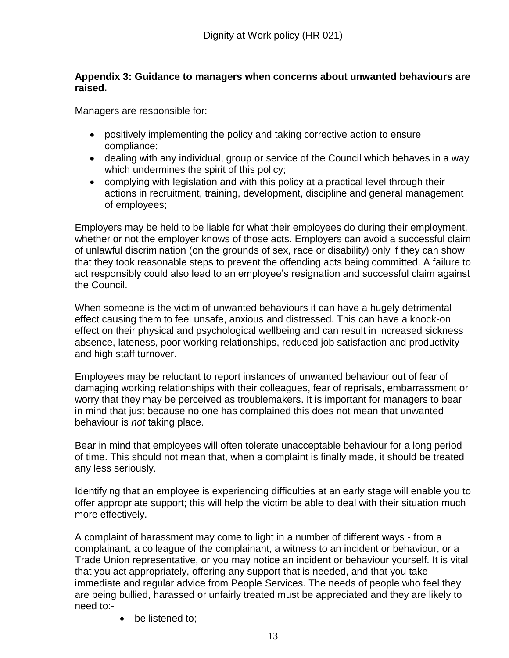## <span id="page-12-0"></span>**Appendix 3: Guidance to managers when concerns about unwanted behaviours are raised.**

Managers are responsible for:

- positively implementing the policy and taking corrective action to ensure compliance;
- dealing with any individual, group or service of the Council which behaves in a way which undermines the spirit of this policy;
- complying with legislation and with this policy at a practical level through their actions in recruitment, training, development, discipline and general management of employees;

Employers may be held to be liable for what their employees do during their employment, whether or not the employer knows of those acts. Employers can avoid a successful claim of unlawful discrimination (on the grounds of sex, race or disability) only if they can show that they took reasonable steps to prevent the offending acts being committed. A failure to act responsibly could also lead to an employee's resignation and successful claim against the Council.

When someone is the victim of unwanted behaviours it can have a hugely detrimental effect causing them to feel unsafe, anxious and distressed. This can have a knock-on effect on their physical and psychological wellbeing and can result in increased sickness absence, lateness, poor working relationships, reduced job satisfaction and productivity and high staff turnover.

Employees may be reluctant to report instances of unwanted behaviour out of fear of damaging working relationships with their colleagues, fear of reprisals, embarrassment or worry that they may be perceived as troublemakers. It is important for managers to bear in mind that just because no one has complained this does not mean that unwanted behaviour is *not* taking place.

Bear in mind that employees will often tolerate unacceptable behaviour for a long period of time. This should not mean that, when a complaint is finally made, it should be treated any less seriously.

Identifying that an employee is experiencing difficulties at an early stage will enable you to offer appropriate support; this will help the victim be able to deal with their situation much more effectively.

A complaint of harassment may come to light in a number of different ways - from a complainant, a colleague of the complainant, a witness to an incident or behaviour, or a Trade Union representative, or you may notice an incident or behaviour yourself. It is vital that you act appropriately, offering any support that is needed, and that you take immediate and regular advice from People Services. The needs of people who feel they are being bullied, harassed or unfairly treated must be appreciated and they are likely to need to:-

• be listened to: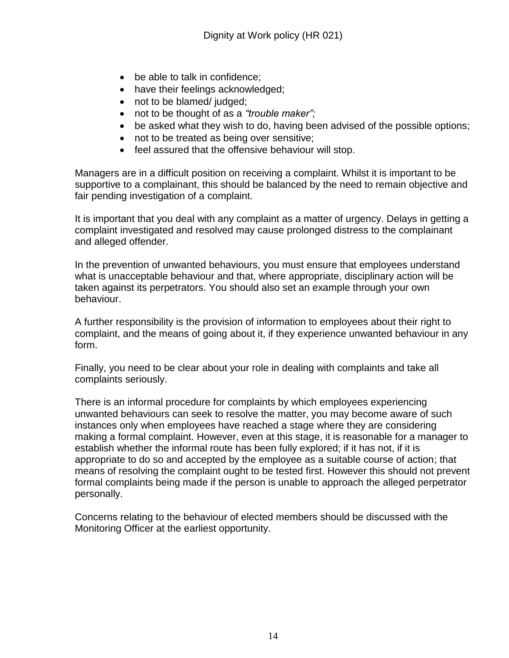- be able to talk in confidence:
- have their feelings acknowledged;
- not to be blamed/ judged;
- not to be thought of as a *"trouble maker";*
- be asked what they wish to do, having been advised of the possible options;
- not to be treated as being over sensitive;
- feel assured that the offensive behaviour will stop.

Managers are in a difficult position on receiving a complaint. Whilst it is important to be supportive to a complainant, this should be balanced by the need to remain objective and fair pending investigation of a complaint.

It is important that you deal with any complaint as a matter of urgency. Delays in getting a complaint investigated and resolved may cause prolonged distress to the complainant and alleged offender.

In the prevention of unwanted behaviours, you must ensure that employees understand what is unacceptable behaviour and that, where appropriate, disciplinary action will be taken against its perpetrators. You should also set an example through your own behaviour.

A further responsibility is the provision of information to employees about their right to complaint, and the means of going about it, if they experience unwanted behaviour in any form.

Finally, you need to be clear about your role in dealing with complaints and take all complaints seriously.

There is an informal procedure for complaints by which employees experiencing unwanted behaviours can seek to resolve the matter, you may become aware of such instances only when employees have reached a stage where they are considering making a formal complaint. However, even at this stage, it is reasonable for a manager to establish whether the informal route has been fully explored; if it has not, if it is appropriate to do so and accepted by the employee as a suitable course of action; that means of resolving the complaint ought to be tested first. However this should not prevent formal complaints being made if the person is unable to approach the alleged perpetrator personally.

Concerns relating to the behaviour of elected members should be discussed with the Monitoring Officer at the earliest opportunity.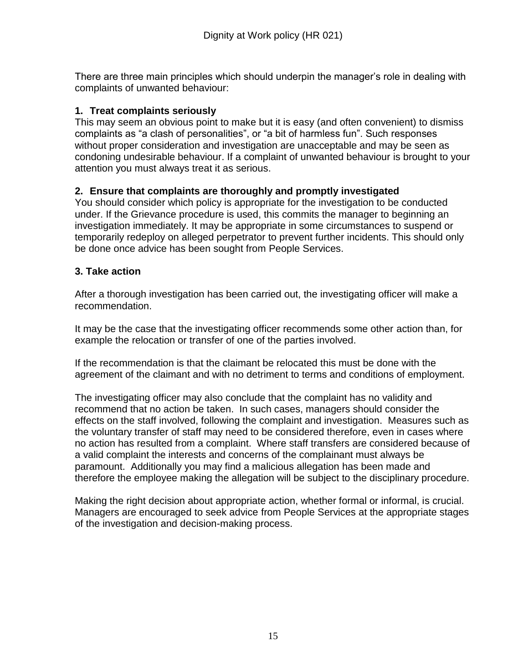There are three main principles which should underpin the manager's role in dealing with complaints of unwanted behaviour:

# **1. Treat complaints seriously**

This may seem an obvious point to make but it is easy (and often convenient) to dismiss complaints as "a clash of personalities", or "a bit of harmless fun". Such responses without proper consideration and investigation are unacceptable and may be seen as condoning undesirable behaviour. If a complaint of unwanted behaviour is brought to your attention you must always treat it as serious.

# **2. Ensure that complaints are thoroughly and promptly investigated**

You should consider which policy is appropriate for the investigation to be conducted under. If the Grievance procedure is used, this commits the manager to beginning an investigation immediately. It may be appropriate in some circumstances to suspend or temporarily redeploy on alleged perpetrator to prevent further incidents. This should only be done once advice has been sought from People Services.

# **3. Take action**

After a thorough investigation has been carried out, the investigating officer will make a recommendation.

It may be the case that the investigating officer recommends some other action than, for example the relocation or transfer of one of the parties involved.

If the recommendation is that the claimant be relocated this must be done with the agreement of the claimant and with no detriment to terms and conditions of employment.

The investigating officer may also conclude that the complaint has no validity and recommend that no action be taken. In such cases, managers should consider the effects on the staff involved, following the complaint and investigation. Measures such as the voluntary transfer of staff may need to be considered therefore, even in cases where no action has resulted from a complaint. Where staff transfers are considered because of a valid complaint the interests and concerns of the complainant must always be paramount. Additionally you may find a malicious allegation has been made and therefore the employee making the allegation will be subject to the disciplinary procedure.

Making the right decision about appropriate action, whether formal or informal, is crucial. Managers are encouraged to seek advice from People Services at the appropriate stages of the investigation and decision-making process.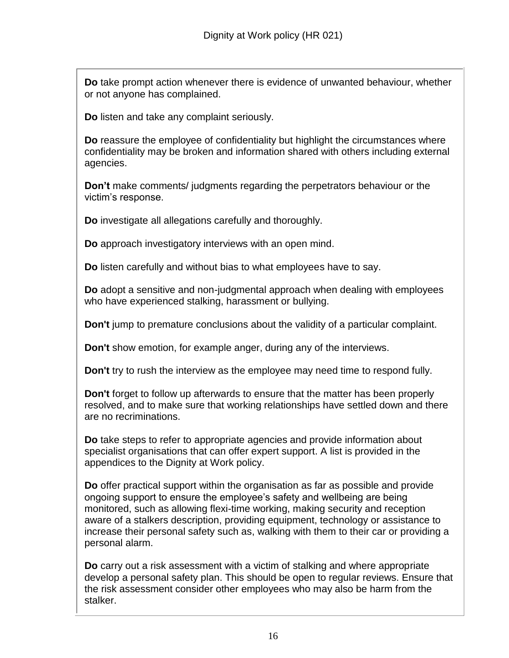**Do** take prompt action whenever there is evidence of unwanted behaviour, whether or not anyone has complained.

**Do** listen and take any complaint seriously.

**Do** reassure the employee of confidentiality but highlight the circumstances where confidentiality may be broken and information shared with others including external agencies.

**Don't** make comments/ judgments regarding the perpetrators behaviour or the victim's response.

**Do** investigate all allegations carefully and thoroughly.

**Do** approach investigatory interviews with an open mind.

**Do** listen carefully and without bias to what employees have to say.

**Do** adopt a sensitive and non-judgmental approach when dealing with employees who have experienced stalking, harassment or bullying.

**Don't** jump to premature conclusions about the validity of a particular complaint.

**Don't** show emotion, for example anger, during any of the interviews.

**Don't** try to rush the interview as the employee may need time to respond fully.

**Don't** forget to follow up afterwards to ensure that the matter has been properly resolved, and to make sure that working relationships have settled down and there are no recriminations.

**Do** take steps to refer to appropriate agencies and provide information about specialist organisations that can offer expert support. A list is provided in the appendices to the Dignity at Work policy.

**Do** offer practical support within the organisation as far as possible and provide ongoing support to ensure the employee's safety and wellbeing are being monitored, such as allowing flexi-time working, making security and reception aware of a stalkers description, providing equipment, technology or assistance to increase their personal safety such as, walking with them to their car or providing a personal alarm.

**Do** carry out a risk assessment with a victim of stalking and where appropriate develop a personal safety plan. This should be open to regular reviews. Ensure that the risk assessment consider other employees who may also be harm from the stalker.